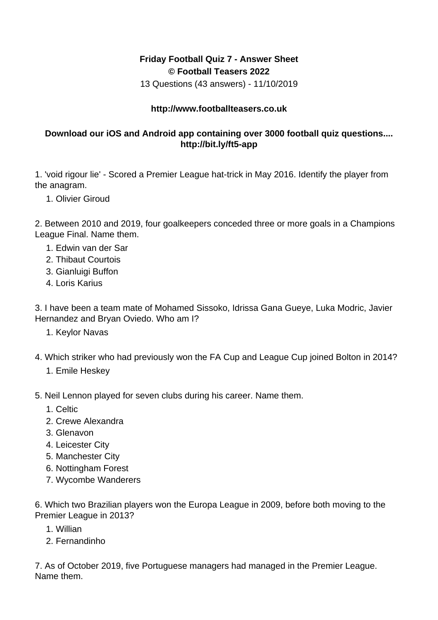## **Friday Football Quiz 7 - Answer Sheet © Football Teasers 2022**

13 Questions (43 answers) - 11/10/2019

## **http://www.footballteasers.co.uk**

## **Download our iOS and Android app containing over 3000 football quiz questions.... http://bit.ly/ft5-app**

1. 'void rigour lie' - Scored a Premier League hat-trick in May 2016. Identify the player from the anagram.

1. Olivier Giroud

2. Between 2010 and 2019, four goalkeepers conceded three or more goals in a Champions League Final. Name them.

- 1. Edwin van der Sar
- 2. Thibaut Courtois
- 3. Gianluigi Buffon
- 4. Loris Karius

3. I have been a team mate of Mohamed Sissoko, Idrissa Gana Gueye, Luka Modric, Javier Hernandez and Bryan Oviedo. Who am I?

- 1. Keylor Navas
- 4. Which striker who had previously won the FA Cup and League Cup joined Bolton in 2014?
	- 1. Emile Heskey
- 5. Neil Lennon played for seven clubs during his career. Name them.
	- 1. Celtic
	- 2. Crewe Alexandra
	- 3. Glenavon
	- 4. Leicester City
	- 5. Manchester City
	- 6. Nottingham Forest
	- 7. Wycombe Wanderers

6. Which two Brazilian players won the Europa League in 2009, before both moving to the Premier League in 2013?

- 1. Willian
- 2. Fernandinho

7. As of October 2019, five Portuguese managers had managed in the Premier League. Name them.